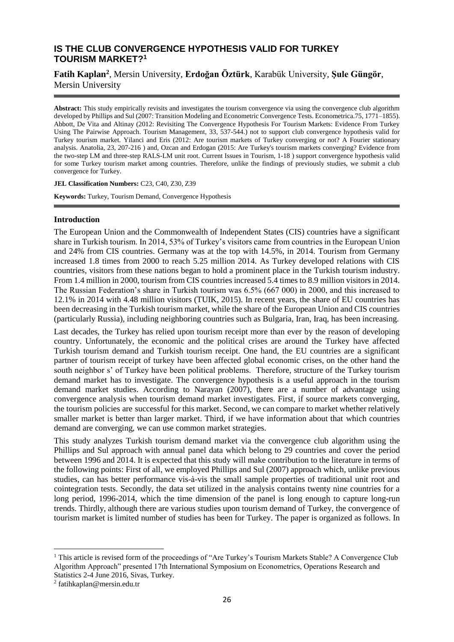# **IS THE CLUB CONVERGENCE HYPOTHESIS VALID FOR TURKEY TOURISM MARKET? 1**

**Fatih Kaplan<sup>2</sup>** , Mersin University, **Erdoğan Öztürk**, Karabük University, **Şule Güngör**, Mersin University

**Abstract:** This study empirically revisits and investigates the tourism convergence via using the convergence club algorithm developed by Phillips and Sul (2007: Transition Modeling and Econometric Convergence Tests. Econometrica.75, 1771–1855). Abbott, De Vita and Altinay (2012: Revisiting The Convergence Hypothesis For Tourism Markets: Evidence From Turkey Using The Pairwise Approach. Tourism Management, 33, 537-544.) not to support club convergence hypothesis valid for Turkey tourism market. Yilanci and Eris (2012: Are tourism markets of Turkey converging or not? A Fourier stationary analysis. Anatolia, 23, 207-216 ) and, Ozcan and Erdogan (2015: Are Turkey's tourism markets converging? Evidence from the two-step LM and three-step RALS-LM unit root. Current Issues in Tourism, 1-18 ) support convergence hypothesis valid for some Turkey tourism market among countries. Therefore, unlike the findings of previously studies, we submit a club convergence for Turkey.

**JEL Classification Numbers:** C23, C40, Z30, Z39

**Keywords:** Turkey, Tourism Demand, Convergence Hypothesis

### **Introduction**

The European Union and the Commonwealth of Independent States (CIS) countries have a significant share in Turkish tourism. In 2014, 53% of Turkey's visitors came from countries in the European Union and 24% from CIS countries. Germany was at the top with 14.5%, in 2014. Tourism from Germany increased 1.8 times from 2000 to reach 5.25 million 2014. As Turkey developed relations with CIS countries, visitors from these nations began to hold a prominent place in the Turkish tourism industry. From 1.4 million in 2000, tourism from CIS countries increased 5.4 times to 8.9 million visitors in 2014. The Russian Federation's share in Turkish tourism was 6.5% (667 000) in 2000, and this increased to 12.1% in 2014 with 4.48 million visitors (TUIK, 2015). In recent years, the share of EU countries has been decreasing in the Turkish tourism market, while the share of the European Union and CIS countries (particularly Russia), including neighboring countries such as Bulgaria, Iran, Iraq, has been increasing.

Last decades, the Turkey has relied upon tourism receipt more than ever by the reason of developing country. Unfortunately, the economic and the political crises are around the Turkey have affected Turkish tourism demand and Turkish tourism receipt. One hand, the EU countries are a significant partner of tourism receipt of turkey have been affected global economic crises, on the other hand the south neighbor s' of Turkey have been political problems. Therefore, structure of the Turkey tourism demand market has to investigate. The convergence hypothesis is a useful approach in the tourism demand market studies. According to Narayan (2007), there are a number of advantage using convergence analysis when tourism demand market investigates. First, if source markets converging, the tourism policies are successful for this market. Second, we can compare to market whether relatively smaller market is better than larger market. Third, if we have information about that which countries demand are converging, we can use common market strategies.

This study analyzes Turkish tourism demand market via the convergence club algorithm using the Phillips and Sul approach with annual panel data which belong to 29 countries and cover the period between 1996 and 2014. It is expected that this study will make contribution to the literature in terms of the following points: First of all, we employed Phillips and Sul (2007) approach which, unlike previous studies, can has better performance vis-à-vis the small sample properties of traditional unit root and cointegration tests. Secondly, the data set utilized in the analysis contains twenty nine countries for a long period, 1996-2014, which the time dimension of the panel is long enough to capture long-run trends. Thirdly, although there are various studies upon tourism demand of Turkey, the convergence of tourism market is limited number of studies has been for Turkey. The paper is organized as follows. In

1

<sup>1</sup> This article is revised form of the proceedings of "Are Turkey's Tourism Markets Stable? A Convergence Club Algorithm Approach" presented 17th International Symposium on Econometrics, Operations Research and Statistics 2-4 June 2016, Sivas, Turkey.

<sup>2</sup> fatihkaplan@mersin.edu.tr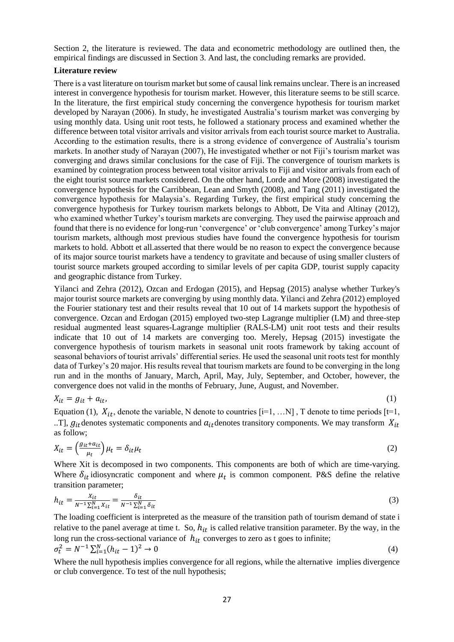Section 2, the literature is reviewed. The data and econometric methodology are outlined then, the empirical findings are discussed in Section 3. And last, the concluding remarks are provided.

## **Literature review**

There is a vast literature on tourism market but some of causal link remains unclear. There is an increased interest in convergence hypothesis for tourism market. However, this literature seems to be still scarce. In the literature, the first empirical study concerning the convergence hypothesis for tourism market developed by Narayan (2006). In study, he investigated Australia's tourism market was converging by using monthly data. Using unit root tests, he followed a stationary process and examined whether the difference between total visitor arrivals and visitor arrivals from each tourist source market to Australia. According to the estimation results, there is a strong evidence of convergence of Australia's tourism markets. In another study of Narayan (2007), He investigated whether or not Fiji's tourism market was converging and draws similar conclusions for the case of Fiji. The convergence of tourism markets is examined by cointegration process between total visitor arrivals to Fiji and visitor arrivals from each of the eight tourist source markets considered. On the other hand, Lorde and More (2008) investigated the convergence hypothesis for the Carribbean, Lean and Smyth (2008), and Tang (2011) investigated the convergence hypothesis for Malaysia's. Regarding Turkey, the first empirical study concerning the convergence hypothesis for Turkey tourism markets belongs to Abbott, De Vita and Altinay (2012), who examined whether Turkey's tourism markets are converging. They used the pairwise approach and found that there is no evidence for long-run 'convergence' or 'club convergence' among Turkey's major tourism markets, although most previous studies have found the convergence hypothesis for tourism markets to hold. Abbott et all.asserted that there would be no reason to expect the convergence because of its major source tourist markets have a tendency to gravitate and because of using smaller clusters of tourist source markets grouped according to similar levels of per capita GDP, tourist supply capacity and geographic distance from Turkey.

Yilanci and Zehra (2012), Ozcan and Erdogan (2015), and Hepsag (2015) analyse whether Turkey's major tourist source markets are converging by using monthly data. Yilanci and Zehra (2012) employed the Fourier stationary test and their results reveal that 10 out of 14 markets support the hypothesis of convergence. Ozcan and Erdogan (2015) employed two-step Lagrange multiplier (LM) and three-step residual augmented least squares-Lagrange multiplier (RALS-LM) unit root tests and their results indicate that 10 out of 14 markets are converging too. Merely, Hepsag (2015) investigate the convergence hypothesis of tourism markets in seasonal unit roots framework by taking account of seasonal behaviors of tourist arrivals' differential series. He used the seasonal unit roots test for monthly data of Turkey's 20 major. His results reveal that tourism markets are found to be converging in the long run and in the months of January, March, April, May, July, September, and October, however, the convergence does not valid in the months of February, June, August, and November.

$$
X_{it} = g_{it} + a_{it},\tag{1}
$$

Equation (1),  $X_{it}$ , denote the variable, N denote to countries [i=1, ...N], T denote to time periods [t=1, ..T],  $g_{it}$  denotes systematic components and  $a_{it}$  denotes transitory components. We may transform  $X_{it}$ as follow;

$$
X_{it} = \left(\frac{g_{it} + a_{it}}{\mu_t}\right)\mu_t = \delta_{it}\mu_t
$$
\n<sup>(2)</sup>

Where Xit is decomposed in two components. This components are both of which are time-varying. Where  $\delta_{it}$  idiosyncratic component and where  $\mu_t$  is common component. P&S define the relative transition parameter;

$$
h_{it} = \frac{X_{it}}{N^{-1} \sum_{i=1}^{N} X_{it}} = \frac{\delta_{it}}{N^{-1} \sum_{i=1}^{N} \delta_{it}} \tag{3}
$$

The loading coefficient is interpreted as the measure of the transition path of tourism demand of state i relative to the panel average at time t. So,  $h_{it}$  is called relative transition parameter. By the way, in the long run the cross-sectional variance of  $h_{it}$  converges to zero as t goes to infinite;  $\sigma_t^2 = N^{-1} \sum_{i=1}^N (h_{it} - 1)^2 \to 0$  (4)

Where the null hypothesis implies convergence for all regions, while the alternative implies divergence or club convergence. To test of the null hypothesis;